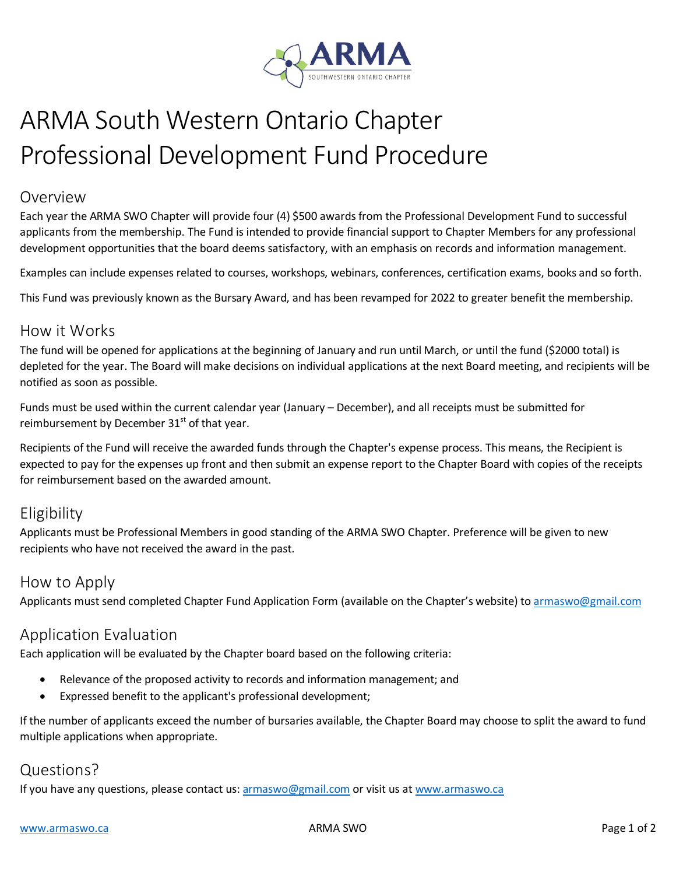

# ARMA South Western Ontario Chapter Professional Development Fund Procedure

#### Overview

Each year the ARMA SWO Chapter will provide four (4) \$500 awards from the Professional Development Fund to successful applicants from the membership. The Fund is intended to provide financial support to Chapter Members for any professional development opportunities that the board deems satisfactory, with an emphasis on records and information management.

Examples can include expenses related to courses, workshops, webinars, conferences, certification exams, books and so forth.

This Fund was previously known as the Bursary Award, and has been revamped for 2022 to greater benefit the membership.

#### How it Works

The fund will be opened for applications at the beginning of January and run until March, or until the fund (\$2000 total) is depleted for the year. The Board will make decisions on individual applications at the next Board meeting, and recipients will be notified as soon as possible.

Funds must be used within the current calendar year (January – December), and all receipts must be submitted for reimbursement by December  $31<sup>st</sup>$  of that year.

Recipients of the Fund will receive the awarded funds through the Chapter's expense process. This means, the Recipient is expected to pay for the expenses up front and then submit an expense report to the Chapter Board with copies of the receipts for reimbursement based on the awarded amount.

### Eligibility

Applicants must be Professional Members in good standing of the ARMA SWO Chapter. Preference will be given to new recipients who have not received the award in the past.

#### How to Apply

Applicants must send completed Chapter Fund Application Form (available on the Chapter's website) to armaswo@gmail.com

### Application Evaluation

Each application will be evaluated by the Chapter board based on the following criteria:

- Relevance of the proposed activity to records and information management; and
- Expressed benefit to the applicant's professional development;

If the number of applicants exceed the number of bursaries available, the Chapter Board may choose to split the award to fund multiple applications when appropriate.

### Questions?

If you have any questions, please contact us: armaswo@gmail.com or visit us at [www.armaswo.ca](http://www.armaswo.ca/)